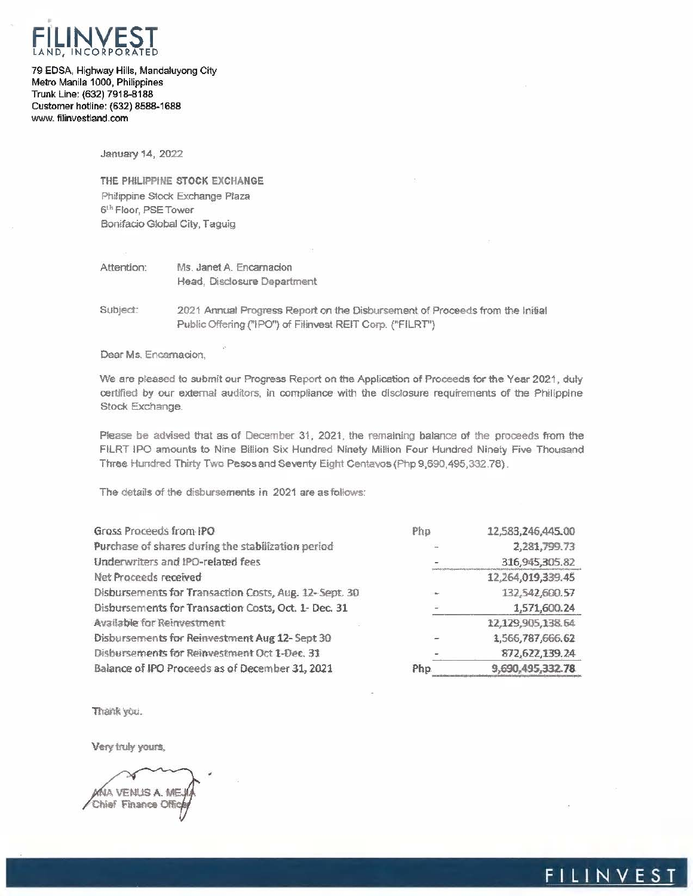

79 EDSA, Highway Hills, Mandaluyong City Metro Manila 1000, Philippines Trunk Line: (632) 7918-8188 Customer hotline: (632) 8588-1688 www.filinvestland.com

January 14, 2022

THE PHILIPPINE STOCK EXCHANGE Philippine Stock Exchange Plaza 6th Floor, PSETower Bonifacio Global City, Taguig

## Attention: Ms. Janet A. Encamacion Head, Disclosure Department

Subject: 2021 Annual Progress Report on the Disbursement of Proceeds from the Initial Public Offering ("IPO") of Filinvest REIT Corp. ("FILRT")

Dear Ms. Encamadon,

We are pleased to submit our Progress Report on the Application of Proceeds for the Year 2021, duly certified by our external auditors, in compliance with the disclosure requirements of the Philippine Stock Exchange.

Please be advised that as of December 31, 2021, the remaining balance of the proceeds from the FILRT IPO amounts to Nine Billion Six Hundred Ninety Million Four Hundred Ninety Five Thousand Three Hundred Thirty Two Pesos and Seventy Eight Centavos (Php 9,690,495,332.78).

The details of the disbursements in 2021 are as follows:

| Gross Proceeds from IPO                                | Php            | 12,583,246,445.00 |
|--------------------------------------------------------|----------------|-------------------|
| Purchase of shares during the stabilization period     |                | 2,281,799.73      |
| Underwriters and IPO-related fees                      |                | 316,945,305.82    |
| Net Proceeds received                                  |                | 12,264,019,339.45 |
| Disbursements for Transaction Costs, Aug. 12- Sept. 30 |                | 132,542,600.57    |
| Disbursements for Transaction Costs, Oct. 1- Dec. 31   | $\overline{a}$ | 1,571,600.24      |
| Available for Reinvestment                             |                | 12,129,905,138.64 |
| Disbursements for Reinvestment Aug 12- Sept 30         |                | 1,566,787,666,62  |
| Disbursements for Reinvestment Oct 1-Dec. 31           |                | 872,622,139.24    |
| Balance of IPO Proceeds as of December 31, 2021        | Php.           | 9,690,495,332.78  |

Thank you.

Very truly yours,

WHA VENUS A. ME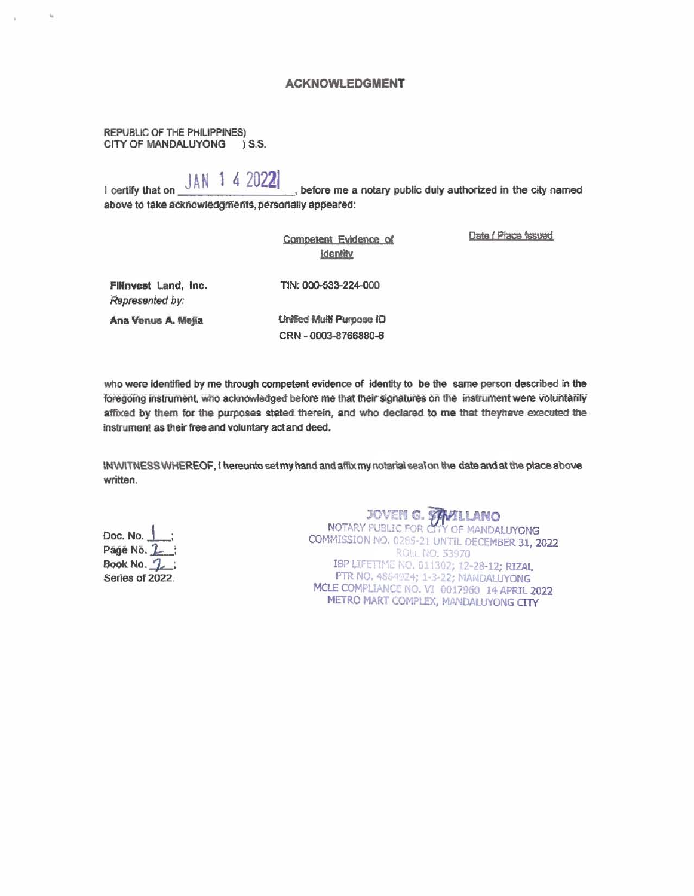#### **ACKNOWLEDGMENT**

REPUBLIC OF THE PHILIPPINES) CITY OF MANDALUYONG ) S.S.

# I certify that on JAN 1 4 2022

before me a notary public duly authorized in the city named above to take acknowledgments, personally appeared:

|                                         | Competent Evidence of<br><b>Identity</b> | Date / Place Issued |
|-----------------------------------------|------------------------------------------|---------------------|
| Filinvest Land, Inc.<br>Represented by: | TIN: 000-533-224-000                     |                     |
| Ana Venus A. Mejia                      | Unified Multi Purpose ID                 |                     |
|                                         | CRN - 0003-8766880-6                     |                     |
|                                         |                                          |                     |

who were identified by me through competent evidence of identity to be the same person described in the foregoing instrument, who acknowledged before me that their signatures on the instrument were voluntarily affixed by them for the purposes stated therein, and who declared to me that theyhave executed the instrument as their free and voluntary act and deed.

INVIITNESS WHEREOF, I hereunto set my hand and affix my notarial seal on the date and at the place above written.

Doc. No. Páge No. 2 Book No. 1: Series of 2022. JOVEN G. **WILLANO**<br>NOTARY PUBLIC FOR CITY OF MANDALUYONG<br>COMMISSION NO. 0285-21 UNTIL DECEMBER 31, 2022 ROLL NO. 53970 IBP LIFETIME NO. 611302; 12-28-12; RIZAL PTR NO. 4864924; 1-3-22; MANDALUYONG MCLE COMPLIANCE NO. VI 0017960 14 APRIL 2022 METRO MART COMPLEX, MANDALUYONG CITY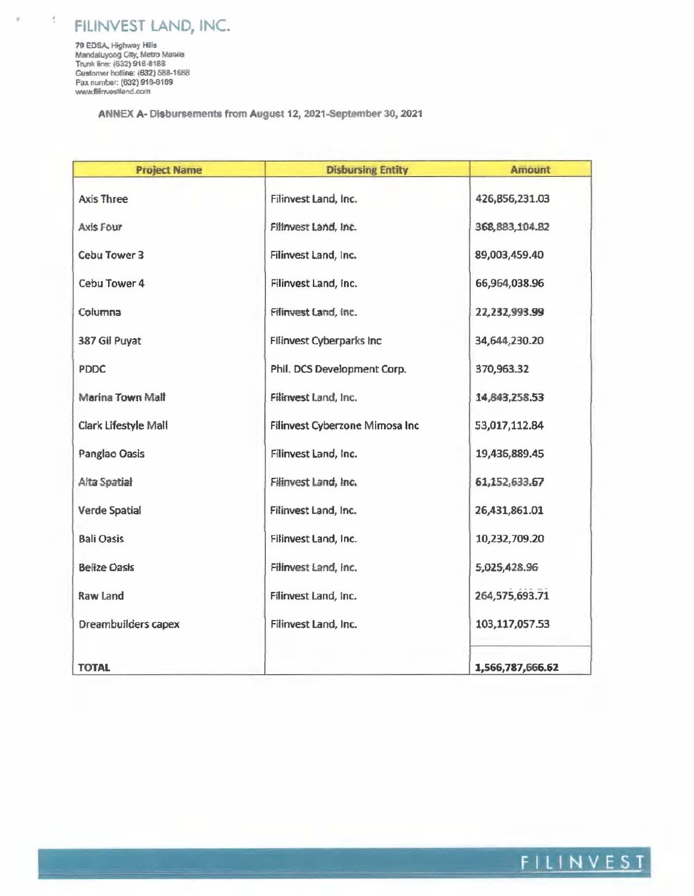FILINVEST LAND, INC.

79 EDSA, Highway Hills<br>Mandaluyong City, Metro Manila<br>Trunk line: (632) 918-8188 Customer hottine: (632) 588-1688 Fax number: (632) 918-8189 www.fillnvestland.com

 $\frac{3}{4}$ 

á

ANNEX A-Disbursements from August 12, 2021-September 30, 2021

| <b>Project Name</b>  | <b>Disbursing Entity</b>        | <b>Amount</b>    |
|----------------------|---------------------------------|------------------|
| Axis Three           | Filinvest Land, Inc.            | 426,856,231.03   |
| Axis Four            | Filmvest Land, Inc.             | 368, 883, 104.82 |
| Cebu Tower 3         | Filinvest Land, Inc.            | 89,003,459.40    |
| Cebu Tower 4         | Filinvest Land, Inc.            | 66,964,038.96    |
| Columna              | Filinvest Land, Inc.            | 22,232,993.99    |
| 387 Gil Puyat        | <b>Filinvest Cyberparks Inc</b> | 34,644,230.20    |
| <b>PDDC</b>          | Phil. DCS Development Corp.     | 370,963.32       |
| Marina Town Mall     | Filinvest Land, Inc.            | 14,843,258.53    |
| Clark Lifestyle Mall | Filinvest Cyberzone Mimosa Inc  | 53,017,112.84    |
| Panglao Oasis        | Filinvest Land, Inc.            | 19,436,889.45    |
| Alta Spatial         | Filinvest Land, Inc.            | 61,152,633.67    |
| Verde Spatial        | Filinvest Land, Inc.            | 26,431,861.01    |
| <b>Bali Oasis</b>    | Filinvest Land, Inc.            | 10,232,709.20    |
| <b>Belize Oasis</b>  | Filinvest Land, Inc.            | 5,025,428.96     |
| Raw Land             | Filinvest Land, Inc.            | 264,575,693.71   |
| Dreambuilders capex  | Filinvest Land, Inc.            | 103,117,057.53   |
| <b>TOTAL</b>         |                                 | 1,566,787,666.62 |